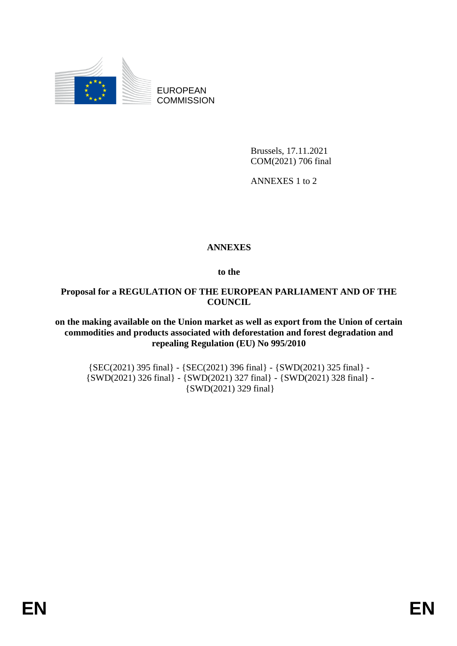

EUROPEAN **COMMISSION** 

> Brussels, 17.11.2021 COM(2021) 706 final

ANNEXES 1 to 2

## **ANNEXES**

**to the**

## **Proposal for a REGULATION OF THE EUROPEAN PARLIAMENT AND OF THE COUNCIL**

**on the making available on the Union market as well as export from the Union of certain commodities and products associated with deforestation and forest degradation and repealing Regulation (EU) No 995/2010**

{SEC(2021) 395 final} - {SEC(2021) 396 final} - {SWD(2021) 325 final} - {SWD(2021) 326 final} - {SWD(2021) 327 final} - {SWD(2021) 328 final} - {SWD(2021) 329 final}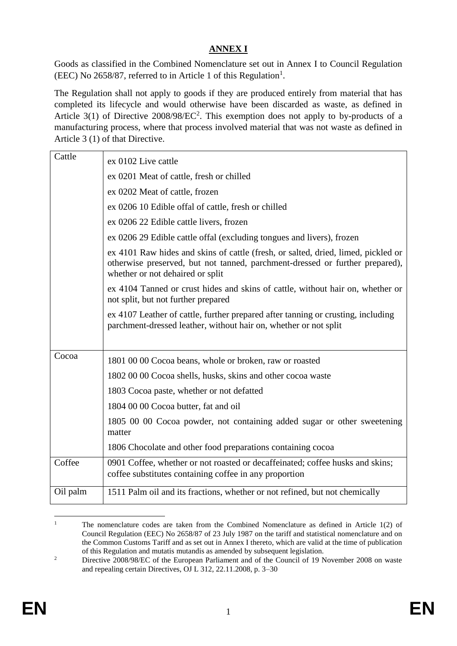# **ANNEX I**

Goods as classified in the Combined Nomenclature set out in Annex I to Council Regulation (EEC) No 2658/87, referred to in Article 1 of this Regulation<sup>1</sup>.

The Regulation shall not apply to goods if they are produced entirely from material that has completed its lifecycle and would otherwise have been discarded as waste, as defined in Article 3(1) of Directive  $2008/98/EC^2$ . This exemption does not apply to by-products of a manufacturing process, where that process involved material that was not waste as defined in Article 3 (1) of that Directive.

| Cattle   | ex 0102 Live cattle                                                                                                                                                                                   |
|----------|-------------------------------------------------------------------------------------------------------------------------------------------------------------------------------------------------------|
|          | ex 0201 Meat of cattle, fresh or chilled                                                                                                                                                              |
|          | ex 0202 Meat of cattle, frozen                                                                                                                                                                        |
|          | ex 0206 10 Edible offal of cattle, fresh or chilled                                                                                                                                                   |
|          | ex 0206 22 Edible cattle livers, frozen                                                                                                                                                               |
|          | ex 0206 29 Edible cattle offal (excluding tongues and livers), frozen                                                                                                                                 |
|          | ex 4101 Raw hides and skins of cattle (fresh, or salted, dried, limed, pickled or<br>otherwise preserved, but not tanned, parchment-dressed or further prepared),<br>whether or not dehaired or split |
|          | ex 4104 Tanned or crust hides and skins of cattle, without hair on, whether or<br>not split, but not further prepared                                                                                 |
|          | ex 4107 Leather of cattle, further prepared after tanning or crusting, including<br>parchment-dressed leather, without hair on, whether or not split                                                  |
|          |                                                                                                                                                                                                       |
| Cocoa    | 1801 00 00 Cocoa beans, whole or broken, raw or roasted                                                                                                                                               |
|          | 1802 00 00 Cocoa shells, husks, skins and other cocoa waste                                                                                                                                           |
|          | 1803 Cocoa paste, whether or not defatted                                                                                                                                                             |
|          | 1804 00 00 Cocoa butter, fat and oil                                                                                                                                                                  |
|          | 1805 00 00 Cocoa powder, not containing added sugar or other sweetening<br>matter                                                                                                                     |
|          | 1806 Chocolate and other food preparations containing cocoa                                                                                                                                           |
| Coffee   | 0901 Coffee, whether or not roasted or decaffeinated; coffee husks and skins;<br>coffee substitutes containing coffee in any proportion                                                               |
| Oil palm | 1511 Palm oil and its fractions, whether or not refined, but not chemically                                                                                                                           |
|          |                                                                                                                                                                                                       |

<sup>1</sup> <sup>1</sup> The nomenclature codes are taken from the Combined Nomenclature as defined in Article  $1(2)$  of Council Regulation (EEC) No 2658/87 of 23 July 1987 on the tariff and statistical nomenclature and on the Common Customs Tariff and as set out in Annex I thereto, which are valid at the time of publication of this Regulation and mutatis mutandis as amended by subsequent legislation.

<sup>&</sup>lt;sup>2</sup> Directive 2008/98/EC of the European Parliament and of the Council of 19 November 2008 on waste and repealing certain Directives, OJ L 312, 22.11.2008, p. 3–30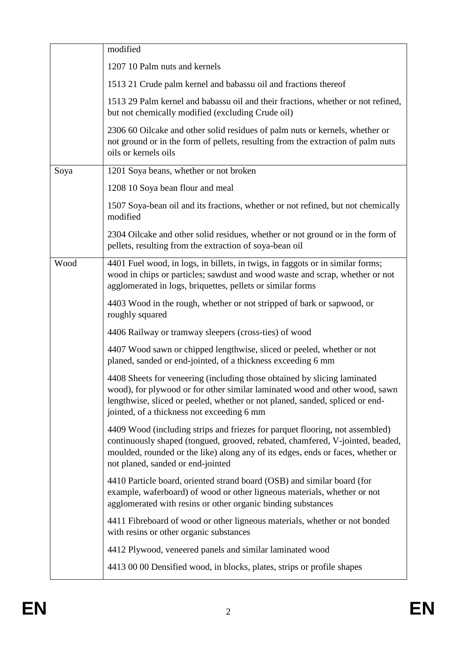|      | modified                                                                                                                                                                                                                                                                              |
|------|---------------------------------------------------------------------------------------------------------------------------------------------------------------------------------------------------------------------------------------------------------------------------------------|
|      | 1207 10 Palm nuts and kernels                                                                                                                                                                                                                                                         |
|      | 1513 21 Crude palm kernel and babassu oil and fractions thereof                                                                                                                                                                                                                       |
|      | 1513 29 Palm kernel and babassu oil and their fractions, whether or not refined,<br>but not chemically modified (excluding Crude oil)                                                                                                                                                 |
|      | 2306 60 Oilcake and other solid residues of palm nuts or kernels, whether or<br>not ground or in the form of pellets, resulting from the extraction of palm nuts<br>oils or kernels oils                                                                                              |
| Soya | 1201 Soya beans, whether or not broken                                                                                                                                                                                                                                                |
|      | 1208 10 Soya bean flour and meal                                                                                                                                                                                                                                                      |
|      | 1507 Soya-bean oil and its fractions, whether or not refined, but not chemically<br>modified                                                                                                                                                                                          |
|      | 2304 Oilcake and other solid residues, whether or not ground or in the form of<br>pellets, resulting from the extraction of soya-bean oil                                                                                                                                             |
| Wood | 4401 Fuel wood, in logs, in billets, in twigs, in faggots or in similar forms;<br>wood in chips or particles; sawdust and wood waste and scrap, whether or not<br>agglomerated in logs, briquettes, pellets or similar forms                                                          |
|      | 4403 Wood in the rough, whether or not stripped of bark or sapwood, or<br>roughly squared                                                                                                                                                                                             |
|      | 4406 Railway or tramway sleepers (cross-ties) of wood                                                                                                                                                                                                                                 |
|      | 4407 Wood sawn or chipped lengthwise, sliced or peeled, whether or not<br>planed, sanded or end-jointed, of a thickness exceeding 6 mm                                                                                                                                                |
|      | 4408 Sheets for veneering (including those obtained by slicing laminated<br>wood), for plywood or for other similar laminated wood and other wood, sawn<br>lengthwise, sliced or peeled, whether or not planed, sanded, spliced or end-<br>jointed, of a thickness not exceeding 6 mm |
|      | 4409 Wood (including strips and friezes for parquet flooring, not assembled)<br>continuously shaped (tongued, grooved, rebated, chamfered, V-jointed, beaded,<br>moulded, rounded or the like) along any of its edges, ends or faces, whether or<br>not planed, sanded or end-jointed |
|      | 4410 Particle board, oriented strand board (OSB) and similar board (for<br>example, waferboard) of wood or other ligneous materials, whether or not<br>agglomerated with resins or other organic binding substances                                                                   |
|      | 4411 Fibreboard of wood or other ligneous materials, whether or not bonded<br>with resins or other organic substances                                                                                                                                                                 |
|      | 4412 Plywood, veneered panels and similar laminated wood                                                                                                                                                                                                                              |
|      | 4413 00 00 Densified wood, in blocks, plates, strips or profile shapes                                                                                                                                                                                                                |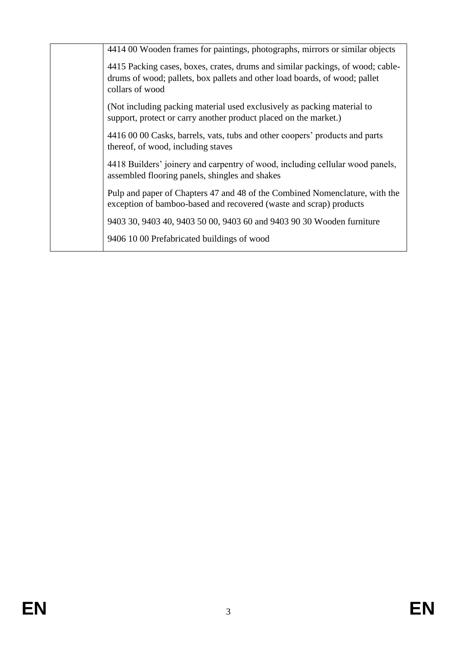| 4414 00 Wooden frames for paintings, photographs, mirrors or similar objects                                                                                                    |
|---------------------------------------------------------------------------------------------------------------------------------------------------------------------------------|
| 4415 Packing cases, boxes, crates, drums and similar packings, of wood; cable-<br>drums of wood; pallets, box pallets and other load boards, of wood; pallet<br>collars of wood |
| (Not including packing material used exclusively as packing material to<br>support, protect or carry another product placed on the market.)                                     |
| 4416 00 00 Casks, barrels, vats, tubs and other coopers' products and parts<br>thereof, of wood, including staves                                                               |
| 4418 Builders' joinery and carpentry of wood, including cellular wood panels,<br>assembled flooring panels, shingles and shakes                                                 |
| Pulp and paper of Chapters 47 and 48 of the Combined Nomenclature, with the<br>exception of bamboo-based and recovered (waste and scrap) products                               |
| 9403 30, 9403 40, 9403 50 00, 9403 60 and 9403 90 30 Wooden furniture                                                                                                           |
| 9406 10 00 Prefabricated buildings of wood                                                                                                                                      |